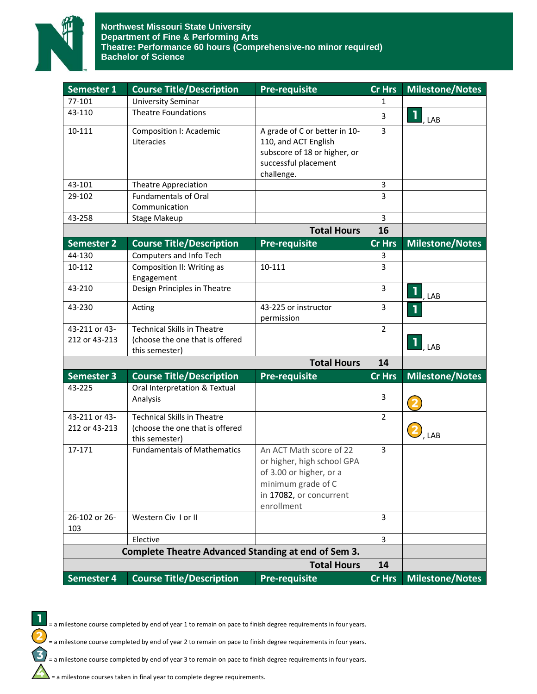

| Semester 1                                                 | <b>Course Title/Description</b>                                                         | <b>Pre-requisite</b>                                                                                                                            | <b>Cr Hrs</b>  | <b>Milestone/Notes</b> |
|------------------------------------------------------------|-----------------------------------------------------------------------------------------|-------------------------------------------------------------------------------------------------------------------------------------------------|----------------|------------------------|
| 77-101                                                     | <b>University Seminar</b>                                                               |                                                                                                                                                 | 1              |                        |
| 43-110                                                     | <b>Theatre Foundations</b>                                                              |                                                                                                                                                 | 3              | ı,<br>, LAB            |
| 10-111                                                     | Composition I: Academic<br>Literacies                                                   | A grade of C or better in 10-<br>110, and ACT English<br>subscore of 18 or higher, or<br>successful placement<br>challenge.                     | 3              |                        |
| 43-101                                                     | <b>Theatre Appreciation</b>                                                             |                                                                                                                                                 | 3              |                        |
| 29-102                                                     | <b>Fundamentals of Oral</b><br>Communication                                            |                                                                                                                                                 | 3              |                        |
| 43-258                                                     | <b>Stage Makeup</b>                                                                     |                                                                                                                                                 | 3              |                        |
|                                                            |                                                                                         | <b>Total Hours</b>                                                                                                                              | 16             |                        |
| <b>Semester 2</b>                                          | <b>Course Title/Description</b>                                                         | <b>Pre-requisite</b>                                                                                                                            | <b>Cr Hrs</b>  | <b>Milestone/Notes</b> |
| 44-130                                                     | Computers and Info Tech                                                                 |                                                                                                                                                 | 3              |                        |
| 10-112                                                     | Composition II: Writing as<br>Engagement                                                | 10-111                                                                                                                                          | 3              |                        |
| 43-210                                                     | Design Principles in Theatre                                                            |                                                                                                                                                 | 3              | , LAB                  |
| 43-230                                                     | Acting                                                                                  | 43-225 or instructor<br>permission                                                                                                              | 3              |                        |
| 43-211 or 43-<br>212 or 43-213                             | <b>Technical Skills in Theatre</b><br>(choose the one that is offered<br>this semester) |                                                                                                                                                 | $\overline{2}$ | $\blacksquare$ , lab   |
|                                                            |                                                                                         | <b>Total Hours</b>                                                                                                                              | 14             |                        |
| <b>Semester 3</b>                                          | <b>Course Title/Description</b>                                                         | <b>Pre-requisite</b>                                                                                                                            | Cr Hrs         | <b>Milestone/Notes</b> |
| 43-225                                                     | Oral Interpretation & Textual<br>Analysis                                               |                                                                                                                                                 | 3              |                        |
| 43-211 or 43-<br>212 or 43-213                             | <b>Technical Skills in Theatre</b><br>(choose the one that is offered<br>this semester) |                                                                                                                                                 | $\overline{2}$ | , LAB                  |
| 17-171                                                     | <b>Fundamentals of Mathematics</b>                                                      | An ACT Math score of 22<br>or higher, high school GPA<br>of 3.00 or higher, or a<br>minimum grade of C<br>in 17082, or concurrent<br>enrollment | 3              |                        |
| 26-102 or 26-<br>103                                       | Western Civ I or II                                                                     |                                                                                                                                                 | 3              |                        |
|                                                            | Elective                                                                                |                                                                                                                                                 | 3              |                        |
| <b>Complete Theatre Advanced Standing at end of Sem 3.</b> |                                                                                         |                                                                                                                                                 |                |                        |
|                                                            |                                                                                         | <b>Total Hours</b>                                                                                                                              | 14             |                        |
| Semester 4                                                 | <b>Course Title/Description</b>                                                         | <b>Pre-requisite</b>                                                                                                                            | Cr Hrs         | <b>Milestone/Notes</b> |



= a milestone course completed by end of year 1 to remain on pace to finish degree requirements in four years.

= a milestone course completed by end of year 2 to remain on pace to finish degree requirements in four years.

= a milestone course completed by end of year 3 to remain on pace to finish degree requirements in four years.

= a milestone courses taken in final year to complete degree requirements.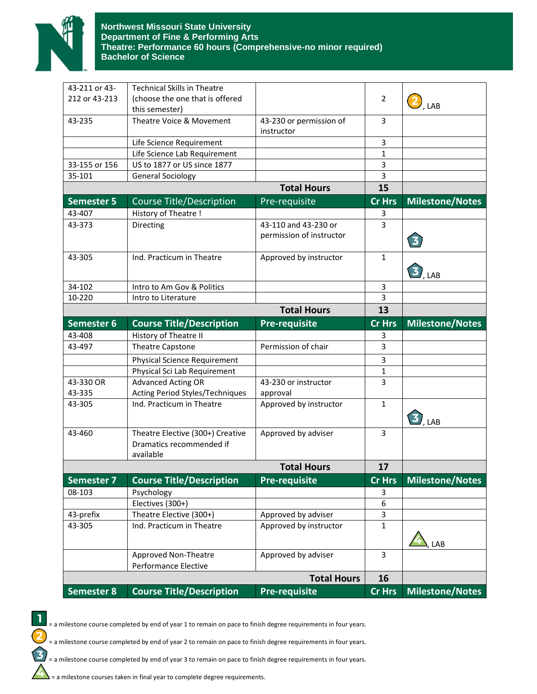

| 43-211 or 43-<br><b>Technical Skills in Theatre</b><br>212 or 43-213<br>(choose the one that is offered<br>2<br>, LAB<br>this semester)<br>Theatre Voice & Movement<br>3<br>43-235<br>43-230 or permission of<br>instructor<br>3<br>Life Science Requirement<br>Life Science Lab Requirement<br>1<br>US to 1877 or US since 1877<br>3<br>33-155 or 156<br>35-101<br><b>General Sociology</b><br>3<br><b>Total Hours</b><br>15<br><b>Cr Hrs</b><br><b>Semester 5</b><br><b>Course Title/Description</b><br>Pre-requisite<br><b>Milestone/Notes</b><br>43-407<br>History of Theatre !<br>3<br>43-110 and 43-230 or<br>Directing<br>3<br>43-373<br>permission of instructor<br>$\overline{\mathbf{3}}$<br>43-305<br>Ind. Practicum in Theatre<br>Approved by instructor<br>$\mathbf{1}$<br>$\mathbf{J}_{\text{LAB}}$<br>34-102<br>Intro to Am Gov & Politics<br>3<br>3<br>10-220<br>Intro to Literature<br><b>Total Hours</b><br>13<br><b>Milestone/Notes</b><br><b>Course Title/Description</b><br>Semester 6<br><b>Pre-requisite</b><br><b>Cr Hrs</b><br>History of Theatre II<br>43-408<br>3<br>43-497<br>Permission of chair<br>3<br><b>Theatre Capstone</b><br><b>Physical Science Requirement</b><br>3<br>Physical Sci Lab Requirement<br>1<br>43-330 OR<br><b>Advanced Acting OR</b><br>3<br>43-230 or instructor<br>43-335<br>Acting Period Styles/Techniques<br>approval<br>Ind. Practicum in Theatre<br>Approved by instructor<br>$\mathbf{1}$<br>43-305<br>$\mathbf{J}_{\mathsf{LAB}}$<br>Theatre Elective (300+) Creative<br>43-460<br>Approved by adviser<br>3<br>Dramatics recommended if<br>available<br><b>Total Hours</b><br>17<br><b>Course Title/Description</b><br><b>Pre-requisite</b><br><b>Milestone/Notes</b><br><b>Semester 7</b><br><b>Cr Hrs</b><br>Psychology<br>08-103<br>3<br>Electives (300+)<br>$\boldsymbol{6}$<br>43-prefix<br>Theatre Elective (300+)<br>Approved by adviser<br>3<br>Ind. Practicum in Theatre<br>Approved by instructor<br>$\mathbf 1$<br>43-305<br>LAB<br>Approved Non-Theatre<br>Approved by adviser<br>3<br>Performance Elective<br><b>Total Hours</b><br>16<br><b>Semester 8</b><br><b>Course Title/Description</b><br><b>Pre-requisite</b><br><b>Cr Hrs</b><br><b>Milestone/Notes</b> |  |  |  |
|---------------------------------------------------------------------------------------------------------------------------------------------------------------------------------------------------------------------------------------------------------------------------------------------------------------------------------------------------------------------------------------------------------------------------------------------------------------------------------------------------------------------------------------------------------------------------------------------------------------------------------------------------------------------------------------------------------------------------------------------------------------------------------------------------------------------------------------------------------------------------------------------------------------------------------------------------------------------------------------------------------------------------------------------------------------------------------------------------------------------------------------------------------------------------------------------------------------------------------------------------------------------------------------------------------------------------------------------------------------------------------------------------------------------------------------------------------------------------------------------------------------------------------------------------------------------------------------------------------------------------------------------------------------------------------------------------------------------------------------------------------------------------------------------------------------------------------------------------------------------------------------------------------------------------------------------------------------------------------------------------------------------------------------------------------------------------------------------------------------------------------------------------------------------------------------------------------------------------------------------|--|--|--|
|                                                                                                                                                                                                                                                                                                                                                                                                                                                                                                                                                                                                                                                                                                                                                                                                                                                                                                                                                                                                                                                                                                                                                                                                                                                                                                                                                                                                                                                                                                                                                                                                                                                                                                                                                                                                                                                                                                                                                                                                                                                                                                                                                                                                                                             |  |  |  |
|                                                                                                                                                                                                                                                                                                                                                                                                                                                                                                                                                                                                                                                                                                                                                                                                                                                                                                                                                                                                                                                                                                                                                                                                                                                                                                                                                                                                                                                                                                                                                                                                                                                                                                                                                                                                                                                                                                                                                                                                                                                                                                                                                                                                                                             |  |  |  |
|                                                                                                                                                                                                                                                                                                                                                                                                                                                                                                                                                                                                                                                                                                                                                                                                                                                                                                                                                                                                                                                                                                                                                                                                                                                                                                                                                                                                                                                                                                                                                                                                                                                                                                                                                                                                                                                                                                                                                                                                                                                                                                                                                                                                                                             |  |  |  |
|                                                                                                                                                                                                                                                                                                                                                                                                                                                                                                                                                                                                                                                                                                                                                                                                                                                                                                                                                                                                                                                                                                                                                                                                                                                                                                                                                                                                                                                                                                                                                                                                                                                                                                                                                                                                                                                                                                                                                                                                                                                                                                                                                                                                                                             |  |  |  |
|                                                                                                                                                                                                                                                                                                                                                                                                                                                                                                                                                                                                                                                                                                                                                                                                                                                                                                                                                                                                                                                                                                                                                                                                                                                                                                                                                                                                                                                                                                                                                                                                                                                                                                                                                                                                                                                                                                                                                                                                                                                                                                                                                                                                                                             |  |  |  |
|                                                                                                                                                                                                                                                                                                                                                                                                                                                                                                                                                                                                                                                                                                                                                                                                                                                                                                                                                                                                                                                                                                                                                                                                                                                                                                                                                                                                                                                                                                                                                                                                                                                                                                                                                                                                                                                                                                                                                                                                                                                                                                                                                                                                                                             |  |  |  |
|                                                                                                                                                                                                                                                                                                                                                                                                                                                                                                                                                                                                                                                                                                                                                                                                                                                                                                                                                                                                                                                                                                                                                                                                                                                                                                                                                                                                                                                                                                                                                                                                                                                                                                                                                                                                                                                                                                                                                                                                                                                                                                                                                                                                                                             |  |  |  |
|                                                                                                                                                                                                                                                                                                                                                                                                                                                                                                                                                                                                                                                                                                                                                                                                                                                                                                                                                                                                                                                                                                                                                                                                                                                                                                                                                                                                                                                                                                                                                                                                                                                                                                                                                                                                                                                                                                                                                                                                                                                                                                                                                                                                                                             |  |  |  |
|                                                                                                                                                                                                                                                                                                                                                                                                                                                                                                                                                                                                                                                                                                                                                                                                                                                                                                                                                                                                                                                                                                                                                                                                                                                                                                                                                                                                                                                                                                                                                                                                                                                                                                                                                                                                                                                                                                                                                                                                                                                                                                                                                                                                                                             |  |  |  |
|                                                                                                                                                                                                                                                                                                                                                                                                                                                                                                                                                                                                                                                                                                                                                                                                                                                                                                                                                                                                                                                                                                                                                                                                                                                                                                                                                                                                                                                                                                                                                                                                                                                                                                                                                                                                                                                                                                                                                                                                                                                                                                                                                                                                                                             |  |  |  |
|                                                                                                                                                                                                                                                                                                                                                                                                                                                                                                                                                                                                                                                                                                                                                                                                                                                                                                                                                                                                                                                                                                                                                                                                                                                                                                                                                                                                                                                                                                                                                                                                                                                                                                                                                                                                                                                                                                                                                                                                                                                                                                                                                                                                                                             |  |  |  |
|                                                                                                                                                                                                                                                                                                                                                                                                                                                                                                                                                                                                                                                                                                                                                                                                                                                                                                                                                                                                                                                                                                                                                                                                                                                                                                                                                                                                                                                                                                                                                                                                                                                                                                                                                                                                                                                                                                                                                                                                                                                                                                                                                                                                                                             |  |  |  |
|                                                                                                                                                                                                                                                                                                                                                                                                                                                                                                                                                                                                                                                                                                                                                                                                                                                                                                                                                                                                                                                                                                                                                                                                                                                                                                                                                                                                                                                                                                                                                                                                                                                                                                                                                                                                                                                                                                                                                                                                                                                                                                                                                                                                                                             |  |  |  |
|                                                                                                                                                                                                                                                                                                                                                                                                                                                                                                                                                                                                                                                                                                                                                                                                                                                                                                                                                                                                                                                                                                                                                                                                                                                                                                                                                                                                                                                                                                                                                                                                                                                                                                                                                                                                                                                                                                                                                                                                                                                                                                                                                                                                                                             |  |  |  |
|                                                                                                                                                                                                                                                                                                                                                                                                                                                                                                                                                                                                                                                                                                                                                                                                                                                                                                                                                                                                                                                                                                                                                                                                                                                                                                                                                                                                                                                                                                                                                                                                                                                                                                                                                                                                                                                                                                                                                                                                                                                                                                                                                                                                                                             |  |  |  |
|                                                                                                                                                                                                                                                                                                                                                                                                                                                                                                                                                                                                                                                                                                                                                                                                                                                                                                                                                                                                                                                                                                                                                                                                                                                                                                                                                                                                                                                                                                                                                                                                                                                                                                                                                                                                                                                                                                                                                                                                                                                                                                                                                                                                                                             |  |  |  |
|                                                                                                                                                                                                                                                                                                                                                                                                                                                                                                                                                                                                                                                                                                                                                                                                                                                                                                                                                                                                                                                                                                                                                                                                                                                                                                                                                                                                                                                                                                                                                                                                                                                                                                                                                                                                                                                                                                                                                                                                                                                                                                                                                                                                                                             |  |  |  |
|                                                                                                                                                                                                                                                                                                                                                                                                                                                                                                                                                                                                                                                                                                                                                                                                                                                                                                                                                                                                                                                                                                                                                                                                                                                                                                                                                                                                                                                                                                                                                                                                                                                                                                                                                                                                                                                                                                                                                                                                                                                                                                                                                                                                                                             |  |  |  |
|                                                                                                                                                                                                                                                                                                                                                                                                                                                                                                                                                                                                                                                                                                                                                                                                                                                                                                                                                                                                                                                                                                                                                                                                                                                                                                                                                                                                                                                                                                                                                                                                                                                                                                                                                                                                                                                                                                                                                                                                                                                                                                                                                                                                                                             |  |  |  |
|                                                                                                                                                                                                                                                                                                                                                                                                                                                                                                                                                                                                                                                                                                                                                                                                                                                                                                                                                                                                                                                                                                                                                                                                                                                                                                                                                                                                                                                                                                                                                                                                                                                                                                                                                                                                                                                                                                                                                                                                                                                                                                                                                                                                                                             |  |  |  |
|                                                                                                                                                                                                                                                                                                                                                                                                                                                                                                                                                                                                                                                                                                                                                                                                                                                                                                                                                                                                                                                                                                                                                                                                                                                                                                                                                                                                                                                                                                                                                                                                                                                                                                                                                                                                                                                                                                                                                                                                                                                                                                                                                                                                                                             |  |  |  |
|                                                                                                                                                                                                                                                                                                                                                                                                                                                                                                                                                                                                                                                                                                                                                                                                                                                                                                                                                                                                                                                                                                                                                                                                                                                                                                                                                                                                                                                                                                                                                                                                                                                                                                                                                                                                                                                                                                                                                                                                                                                                                                                                                                                                                                             |  |  |  |
|                                                                                                                                                                                                                                                                                                                                                                                                                                                                                                                                                                                                                                                                                                                                                                                                                                                                                                                                                                                                                                                                                                                                                                                                                                                                                                                                                                                                                                                                                                                                                                                                                                                                                                                                                                                                                                                                                                                                                                                                                                                                                                                                                                                                                                             |  |  |  |
|                                                                                                                                                                                                                                                                                                                                                                                                                                                                                                                                                                                                                                                                                                                                                                                                                                                                                                                                                                                                                                                                                                                                                                                                                                                                                                                                                                                                                                                                                                                                                                                                                                                                                                                                                                                                                                                                                                                                                                                                                                                                                                                                                                                                                                             |  |  |  |
|                                                                                                                                                                                                                                                                                                                                                                                                                                                                                                                                                                                                                                                                                                                                                                                                                                                                                                                                                                                                                                                                                                                                                                                                                                                                                                                                                                                                                                                                                                                                                                                                                                                                                                                                                                                                                                                                                                                                                                                                                                                                                                                                                                                                                                             |  |  |  |
|                                                                                                                                                                                                                                                                                                                                                                                                                                                                                                                                                                                                                                                                                                                                                                                                                                                                                                                                                                                                                                                                                                                                                                                                                                                                                                                                                                                                                                                                                                                                                                                                                                                                                                                                                                                                                                                                                                                                                                                                                                                                                                                                                                                                                                             |  |  |  |
|                                                                                                                                                                                                                                                                                                                                                                                                                                                                                                                                                                                                                                                                                                                                                                                                                                                                                                                                                                                                                                                                                                                                                                                                                                                                                                                                                                                                                                                                                                                                                                                                                                                                                                                                                                                                                                                                                                                                                                                                                                                                                                                                                                                                                                             |  |  |  |
|                                                                                                                                                                                                                                                                                                                                                                                                                                                                                                                                                                                                                                                                                                                                                                                                                                                                                                                                                                                                                                                                                                                                                                                                                                                                                                                                                                                                                                                                                                                                                                                                                                                                                                                                                                                                                                                                                                                                                                                                                                                                                                                                                                                                                                             |  |  |  |
|                                                                                                                                                                                                                                                                                                                                                                                                                                                                                                                                                                                                                                                                                                                                                                                                                                                                                                                                                                                                                                                                                                                                                                                                                                                                                                                                                                                                                                                                                                                                                                                                                                                                                                                                                                                                                                                                                                                                                                                                                                                                                                                                                                                                                                             |  |  |  |
|                                                                                                                                                                                                                                                                                                                                                                                                                                                                                                                                                                                                                                                                                                                                                                                                                                                                                                                                                                                                                                                                                                                                                                                                                                                                                                                                                                                                                                                                                                                                                                                                                                                                                                                                                                                                                                                                                                                                                                                                                                                                                                                                                                                                                                             |  |  |  |
|                                                                                                                                                                                                                                                                                                                                                                                                                                                                                                                                                                                                                                                                                                                                                                                                                                                                                                                                                                                                                                                                                                                                                                                                                                                                                                                                                                                                                                                                                                                                                                                                                                                                                                                                                                                                                                                                                                                                                                                                                                                                                                                                                                                                                                             |  |  |  |
|                                                                                                                                                                                                                                                                                                                                                                                                                                                                                                                                                                                                                                                                                                                                                                                                                                                                                                                                                                                                                                                                                                                                                                                                                                                                                                                                                                                                                                                                                                                                                                                                                                                                                                                                                                                                                                                                                                                                                                                                                                                                                                                                                                                                                                             |  |  |  |
|                                                                                                                                                                                                                                                                                                                                                                                                                                                                                                                                                                                                                                                                                                                                                                                                                                                                                                                                                                                                                                                                                                                                                                                                                                                                                                                                                                                                                                                                                                                                                                                                                                                                                                                                                                                                                                                                                                                                                                                                                                                                                                                                                                                                                                             |  |  |  |
|                                                                                                                                                                                                                                                                                                                                                                                                                                                                                                                                                                                                                                                                                                                                                                                                                                                                                                                                                                                                                                                                                                                                                                                                                                                                                                                                                                                                                                                                                                                                                                                                                                                                                                                                                                                                                                                                                                                                                                                                                                                                                                                                                                                                                                             |  |  |  |
|                                                                                                                                                                                                                                                                                                                                                                                                                                                                                                                                                                                                                                                                                                                                                                                                                                                                                                                                                                                                                                                                                                                                                                                                                                                                                                                                                                                                                                                                                                                                                                                                                                                                                                                                                                                                                                                                                                                                                                                                                                                                                                                                                                                                                                             |  |  |  |
|                                                                                                                                                                                                                                                                                                                                                                                                                                                                                                                                                                                                                                                                                                                                                                                                                                                                                                                                                                                                                                                                                                                                                                                                                                                                                                                                                                                                                                                                                                                                                                                                                                                                                                                                                                                                                                                                                                                                                                                                                                                                                                                                                                                                                                             |  |  |  |
|                                                                                                                                                                                                                                                                                                                                                                                                                                                                                                                                                                                                                                                                                                                                                                                                                                                                                                                                                                                                                                                                                                                                                                                                                                                                                                                                                                                                                                                                                                                                                                                                                                                                                                                                                                                                                                                                                                                                                                                                                                                                                                                                                                                                                                             |  |  |  |
|                                                                                                                                                                                                                                                                                                                                                                                                                                                                                                                                                                                                                                                                                                                                                                                                                                                                                                                                                                                                                                                                                                                                                                                                                                                                                                                                                                                                                                                                                                                                                                                                                                                                                                                                                                                                                                                                                                                                                                                                                                                                                                                                                                                                                                             |  |  |  |
|                                                                                                                                                                                                                                                                                                                                                                                                                                                                                                                                                                                                                                                                                                                                                                                                                                                                                                                                                                                                                                                                                                                                                                                                                                                                                                                                                                                                                                                                                                                                                                                                                                                                                                                                                                                                                                                                                                                                                                                                                                                                                                                                                                                                                                             |  |  |  |
|                                                                                                                                                                                                                                                                                                                                                                                                                                                                                                                                                                                                                                                                                                                                                                                                                                                                                                                                                                                                                                                                                                                                                                                                                                                                                                                                                                                                                                                                                                                                                                                                                                                                                                                                                                                                                                                                                                                                                                                                                                                                                                                                                                                                                                             |  |  |  |
|                                                                                                                                                                                                                                                                                                                                                                                                                                                                                                                                                                                                                                                                                                                                                                                                                                                                                                                                                                                                                                                                                                                                                                                                                                                                                                                                                                                                                                                                                                                                                                                                                                                                                                                                                                                                                                                                                                                                                                                                                                                                                                                                                                                                                                             |  |  |  |
|                                                                                                                                                                                                                                                                                                                                                                                                                                                                                                                                                                                                                                                                                                                                                                                                                                                                                                                                                                                                                                                                                                                                                                                                                                                                                                                                                                                                                                                                                                                                                                                                                                                                                                                                                                                                                                                                                                                                                                                                                                                                                                                                                                                                                                             |  |  |  |
|                                                                                                                                                                                                                                                                                                                                                                                                                                                                                                                                                                                                                                                                                                                                                                                                                                                                                                                                                                                                                                                                                                                                                                                                                                                                                                                                                                                                                                                                                                                                                                                                                                                                                                                                                                                                                                                                                                                                                                                                                                                                                                                                                                                                                                             |  |  |  |
|                                                                                                                                                                                                                                                                                                                                                                                                                                                                                                                                                                                                                                                                                                                                                                                                                                                                                                                                                                                                                                                                                                                                                                                                                                                                                                                                                                                                                                                                                                                                                                                                                                                                                                                                                                                                                                                                                                                                                                                                                                                                                                                                                                                                                                             |  |  |  |



= a milestone course completed by end of year 1 to remain on pace to finish degree requirements in four years.

= a milestone course completed by end of year 2 to remain on pace to finish degree requirements in four years.

= a milestone course completed by end of year 3 to remain on pace to finish degree requirements in four years.

= a milestone courses taken in final year to complete degree requirements.